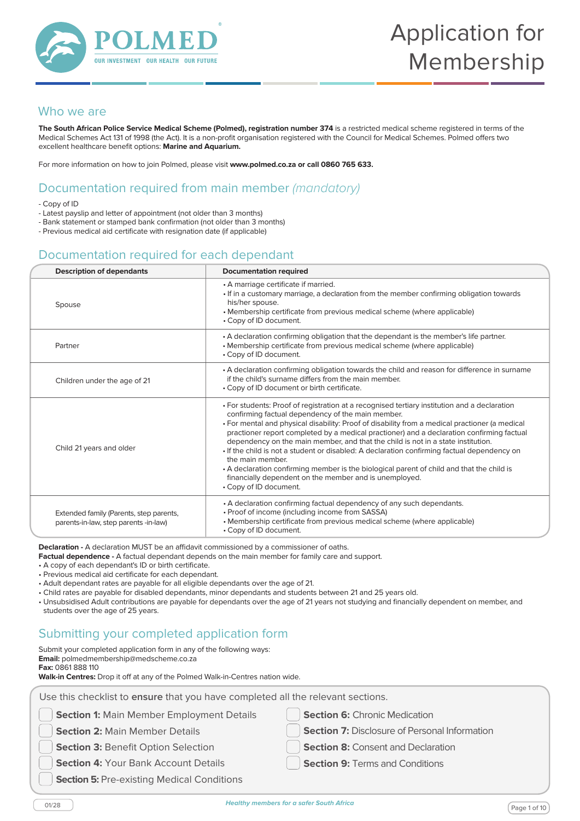

#### Who we are

**The South African Police Service Medical Scheme (Polmed), registration number 374** is a restricted medical scheme registered in terms of the Medical Schemes Act 131 of 1998 (the Act). It is a non-profit organisation registered with the Council for Medical Schemes. Polmed offers two excellent healthcare benefit options: **Marine and Aquarium.**

For more information on how to join Polmed, please visit **www.polmed.co.za or call 0860 765 633.**

## Documentation required from main member *(mandatory)*

- Copy of ID

- Latest payslip and letter of appointment (not older than 3 months)
- Bank statement or stamped bank confirmation (not older than 3 months)
- Previous medical aid certificate with resignation date (if applicable)

#### Documentation required for each dependant

| <b>Description of dependants</b>                                                 | <b>Documentation required</b>                                                                                                                                                                                                                                                                                                                                                                                                                                                                                                                                                                                                                                                                                                            |
|----------------------------------------------------------------------------------|------------------------------------------------------------------------------------------------------------------------------------------------------------------------------------------------------------------------------------------------------------------------------------------------------------------------------------------------------------------------------------------------------------------------------------------------------------------------------------------------------------------------------------------------------------------------------------------------------------------------------------------------------------------------------------------------------------------------------------------|
| Spouse                                                                           | • A marriage certificate if married.<br>• If in a customary marriage, a declaration from the member confirming obligation towards<br>his/her spouse.<br>• Membership certificate from previous medical scheme (where applicable)<br>• Copy of ID document.                                                                                                                                                                                                                                                                                                                                                                                                                                                                               |
| Partner                                                                          | • A declaration confirming obligation that the dependant is the member's life partner.<br>• Membership certificate from previous medical scheme (where applicable)<br>• Copy of ID document.                                                                                                                                                                                                                                                                                                                                                                                                                                                                                                                                             |
| Children under the age of 21                                                     | • A declaration confirming obligation towards the child and reason for difference in surname<br>if the child's surname differs from the main member.<br>• Copy of ID document or birth certificate.                                                                                                                                                                                                                                                                                                                                                                                                                                                                                                                                      |
| Child 21 years and older                                                         | • For students: Proof of registration at a recognised tertiary institution and a declaration<br>confirming factual dependency of the main member.<br>• For mental and physical disability: Proof of disability from a medical practioner (a medical<br>practioner report completed by a medical practioner) and a declaration confirming factual<br>dependency on the main member, and that the child is not in a state institution.<br>• If the child is not a student or disabled: A declaration confirming factual dependency on<br>the main member.<br>• A declaration confirming member is the biological parent of child and that the child is<br>financially dependent on the member and is unemployed.<br>• Copy of ID document. |
| Extended family (Parents, step parents,<br>parents-in-law, step parents -in-law) | • A declaration confirming factual dependency of any such dependants.<br>• Proof of income (including income from SASSA)<br>• Membership certificate from previous medical scheme (where applicable)<br>• Copy of ID document.                                                                                                                                                                                                                                                                                                                                                                                                                                                                                                           |

**Declaration -** A declaration MUST be an affidavit commissioned by a commissioner of oaths.

- **Factual dependence -** A factual dependant depends on the main member for family care and support.
- A copy of each dependant's ID or birth certificate.
- Previous medical aid certificate for each dependant.
- Adult dependant rates are payable for all eligible dependants over the age of 21.
- Child rates are payable for disabled dependants, minor dependants and students between 21 and 25 years old.
- Unsubsidised Adult contributions are payable for dependants over the age of 21 years not studying and financially dependent on member, and students over the age of 25 years.

#### Submitting your completed application form

Submit your completed application form in any of the following ways: **Email:** polmedmembership@medscheme.co.za

**Fax:** 0861 888 110

**Walk-in Centres:** Drop it off at any of the Polmed Walk-in-Centres nation wide.

| <b>Section 1: Main Member Employment Details</b>  | <b>Section 6: Chronic Medication</b>                 |
|---------------------------------------------------|------------------------------------------------------|
| <b>Section 2: Main Member Details</b>             | <b>Section 7: Disclosure of Personal Information</b> |
| Section 3: Benefit Option Selection               | <b>Section 8: Consent and Declaration</b>            |
| <b>Section 4: Your Bank Account Details</b>       | <b>Section 9: Terms and Conditions</b>               |
| <b>Section 5: Pre-existing Medical Conditions</b> |                                                      |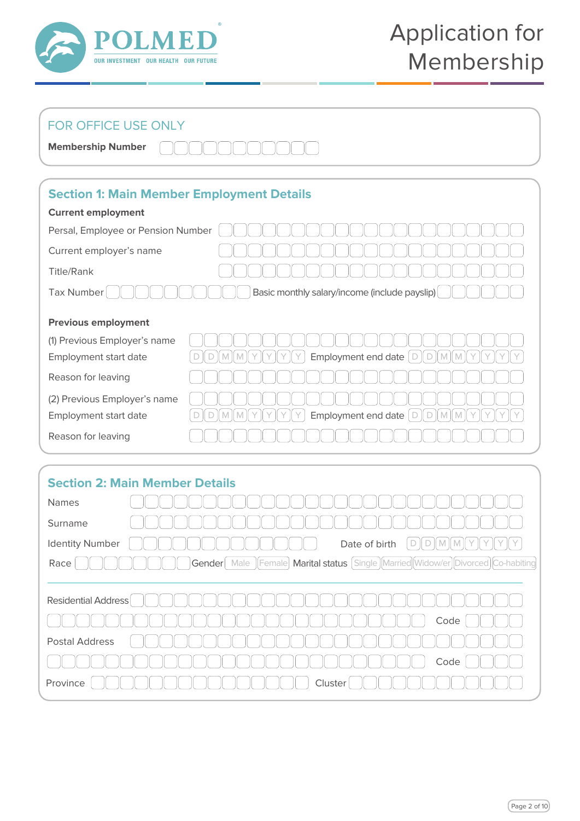

## FOR OFFICE USE ONLY

| <b>Membership Number</b> | <u>OOOOOOOOOOO</u> |
|--------------------------|--------------------|
|--------------------------|--------------------|

## **Section 1: Main Member Employment Details**

| <b>Current employment</b>                                          |  |  |  |  |  |
|--------------------------------------------------------------------|--|--|--|--|--|
| Persal, Employee or Pension Number                                 |  |  |  |  |  |
|                                                                    |  |  |  |  |  |
|                                                                    |  |  |  |  |  |
| Basic monthly salary/income (include payslip)<br><b>Tax Number</b> |  |  |  |  |  |
|                                                                    |  |  |  |  |  |
|                                                                    |  |  |  |  |  |
|                                                                    |  |  |  |  |  |
| Employment end date<br>D<br>M<br>М                                 |  |  |  |  |  |
|                                                                    |  |  |  |  |  |
|                                                                    |  |  |  |  |  |
| Employment end date<br>$\Box$<br>D<br>M                            |  |  |  |  |  |
|                                                                    |  |  |  |  |  |
|                                                                    |  |  |  |  |  |

## **Section 2: Main Member Details**

| Names                                                                               |
|-------------------------------------------------------------------------------------|
| Surname                                                                             |
| <b>Identity Number</b><br>Date of birth                                             |
| Male  Female  Marital status [Single  Married  Widow/er  Divorced<br>Gender<br>Race |
|                                                                                     |
| <b>Residential Address</b>                                                          |
| Code                                                                                |
| <b>Postal Address</b>                                                               |
| Code                                                                                |
| Cluster<br>Province                                                                 |
|                                                                                     |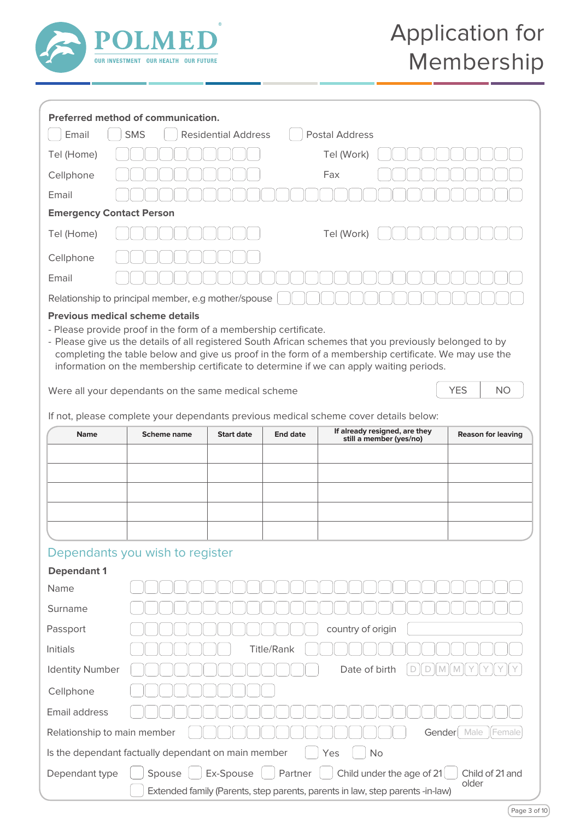

| Preferred method of communication.                                                                                                                                                                                                                                                                                                                                                                                                                                                                                                                |                                                     |  |  |                           |  |  |  |  |
|---------------------------------------------------------------------------------------------------------------------------------------------------------------------------------------------------------------------------------------------------------------------------------------------------------------------------------------------------------------------------------------------------------------------------------------------------------------------------------------------------------------------------------------------------|-----------------------------------------------------|--|--|---------------------------|--|--|--|--|
| Email<br><b>SMS</b><br><b>Residential Address</b><br><b>Postal Address</b>                                                                                                                                                                                                                                                                                                                                                                                                                                                                        |                                                     |  |  |                           |  |  |  |  |
| Tel (Home)                                                                                                                                                                                                                                                                                                                                                                                                                                                                                                                                        | Tel (Work)                                          |  |  |                           |  |  |  |  |
| Cellphone                                                                                                                                                                                                                                                                                                                                                                                                                                                                                                                                         | Fax                                                 |  |  |                           |  |  |  |  |
| Email                                                                                                                                                                                                                                                                                                                                                                                                                                                                                                                                             |                                                     |  |  |                           |  |  |  |  |
|                                                                                                                                                                                                                                                                                                                                                                                                                                                                                                                                                   | <b>Emergency Contact Person</b>                     |  |  |                           |  |  |  |  |
| Tel (Home)                                                                                                                                                                                                                                                                                                                                                                                                                                                                                                                                        | Tel (Work)                                          |  |  |                           |  |  |  |  |
| Cellphone                                                                                                                                                                                                                                                                                                                                                                                                                                                                                                                                         |                                                     |  |  |                           |  |  |  |  |
| Email                                                                                                                                                                                                                                                                                                                                                                                                                                                                                                                                             |                                                     |  |  |                           |  |  |  |  |
|                                                                                                                                                                                                                                                                                                                                                                                                                                                                                                                                                   | Relationship to principal member, e.g mother/spouse |  |  |                           |  |  |  |  |
| - Please provide proof in the form of a membership certificate.<br>- Please give us the details of all registered South African schemes that you previously belonged to by<br>completing the table below and give us proof in the form of a membership certificate. We may use the<br>information on the membership certificate to determine if we can apply waiting periods.<br><b>YES</b><br>NO.<br>Were all your dependants on the same medical scheme<br>If not, please complete your dependants previous medical scheme cover details below: |                                                     |  |  |                           |  |  |  |  |
| If already resigned, are they<br><b>Start date</b><br><b>Name</b><br><b>Scheme name</b><br><b>End date</b><br>still a member (yes/no)                                                                                                                                                                                                                                                                                                                                                                                                             |                                                     |  |  | <b>Reason for leaving</b> |  |  |  |  |
|                                                                                                                                                                                                                                                                                                                                                                                                                                                                                                                                                   |                                                     |  |  |                           |  |  |  |  |
|                                                                                                                                                                                                                                                                                                                                                                                                                                                                                                                                                   |                                                     |  |  |                           |  |  |  |  |
|                                                                                                                                                                                                                                                                                                                                                                                                                                                                                                                                                   |                                                     |  |  |                           |  |  |  |  |
|                                                                                                                                                                                                                                                                                                                                                                                                                                                                                                                                                   |                                                     |  |  |                           |  |  |  |  |
|                                                                                                                                                                                                                                                                                                                                                                                                                                                                                                                                                   |                                                     |  |  |                           |  |  |  |  |
|                                                                                                                                                                                                                                                                                                                                                                                                                                                                                                                                                   | Dependants you wish to register                     |  |  |                           |  |  |  |  |
| <b>Dependant 1</b>                                                                                                                                                                                                                                                                                                                                                                                                                                                                                                                                |                                                     |  |  |                           |  |  |  |  |
| Name                                                                                                                                                                                                                                                                                                                                                                                                                                                                                                                                              |                                                     |  |  |                           |  |  |  |  |
| Surname                                                                                                                                                                                                                                                                                                                                                                                                                                                                                                                                           |                                                     |  |  |                           |  |  |  |  |
| Passport                                                                                                                                                                                                                                                                                                                                                                                                                                                                                                                                          | country of origin                                   |  |  |                           |  |  |  |  |
| <b>Title/Rank</b><br>Initials                                                                                                                                                                                                                                                                                                                                                                                                                                                                                                                     |                                                     |  |  |                           |  |  |  |  |
| Date of birth<br><b>Identity Number</b><br>M<br>D<br>D<br>M                                                                                                                                                                                                                                                                                                                                                                                                                                                                                       |                                                     |  |  |                           |  |  |  |  |
| Cellphone                                                                                                                                                                                                                                                                                                                                                                                                                                                                                                                                         |                                                     |  |  |                           |  |  |  |  |
| Email address                                                                                                                                                                                                                                                                                                                                                                                                                                                                                                                                     |                                                     |  |  |                           |  |  |  |  |
| Gender Male<br>Female<br>Relationship to main member                                                                                                                                                                                                                                                                                                                                                                                                                                                                                              |                                                     |  |  |                           |  |  |  |  |
| Is the dependant factually dependant on main member                                                                                                                                                                                                                                                                                                                                                                                                                                                                                               |                                                     |  |  | No<br>Yes                 |  |  |  |  |
| Ex-Spouse<br>Partner<br>Spouse<br>Child under the age of 21<br>Child of 21 and<br>Dependant type<br>older<br>Extended family (Parents, step parents, parents in law, step parents -in-law)                                                                                                                                                                                                                                                                                                                                                        |                                                     |  |  |                           |  |  |  |  |

Page 3 of 10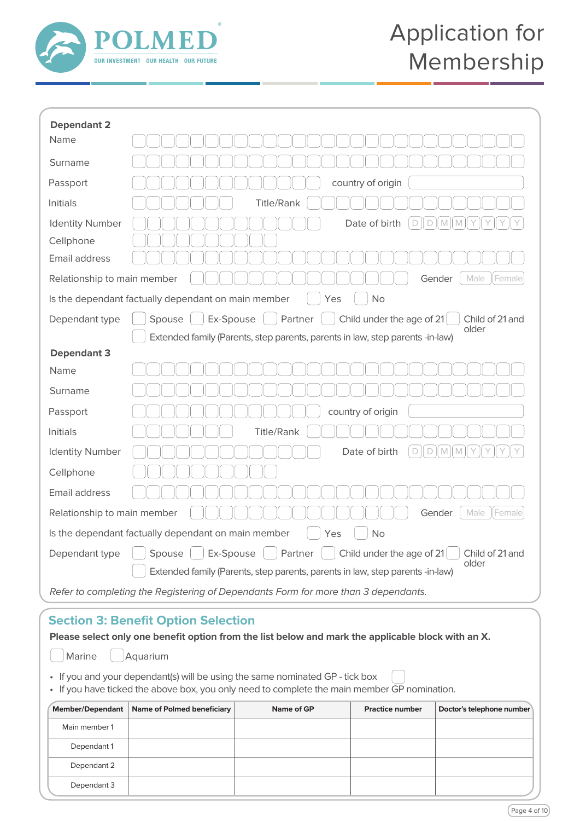

| <b>Dependant 2</b>                                                                 |                                                                                        |  |  |  |
|------------------------------------------------------------------------------------|----------------------------------------------------------------------------------------|--|--|--|
| Name                                                                               |                                                                                        |  |  |  |
| Surname                                                                            |                                                                                        |  |  |  |
| Passport                                                                           | country of origin                                                                      |  |  |  |
| Initials                                                                           | <b>Title/Rank</b>                                                                      |  |  |  |
| <b>Identity Number</b>                                                             | Date of birth<br>$\mathbb{N}$<br>D<br>D<br>M                                           |  |  |  |
| Cellphone                                                                          |                                                                                        |  |  |  |
| Email address                                                                      |                                                                                        |  |  |  |
| Relationship to main member                                                        | Gender<br>Male<br>Female                                                               |  |  |  |
|                                                                                    | Is the dependant factually dependant on main member<br><b>No</b><br>Yes                |  |  |  |
| Dependant type                                                                     | Ex-Spouse<br>Partner<br>Spouse<br>Child under the age of 21<br>Child of 21 and         |  |  |  |
|                                                                                    | older<br>Extended family (Parents, step parents, parents in law, step parents -in-law) |  |  |  |
| <b>Dependant 3</b>                                                                 |                                                                                        |  |  |  |
| Name                                                                               |                                                                                        |  |  |  |
| Surname                                                                            |                                                                                        |  |  |  |
| Passport                                                                           | country of origin                                                                      |  |  |  |
| <b>Initials</b>                                                                    | <b>Title/Rank</b>                                                                      |  |  |  |
| <b>Identity Number</b>                                                             | Date of birth<br>$\mathbb{N}$<br>$\mathbb M$<br>D<br>D<br>Y                            |  |  |  |
| Cellphone                                                                          |                                                                                        |  |  |  |
| Email address                                                                      |                                                                                        |  |  |  |
| Male<br>Female<br>Relationship to main member<br>Gender                            |                                                                                        |  |  |  |
| Is the dependant factually dependant on main member<br><b>No</b><br>Yes            |                                                                                        |  |  |  |
| Dependant type                                                                     | Ex-Spouse<br>Partner<br>Child under the age of 21<br>Spouse<br>Child of 21 and         |  |  |  |
|                                                                                    | older<br>Extended family (Parents, step parents, parents in law, step parents -in-law) |  |  |  |
| Refer to completing the Registering of Dependants Form for more than 3 dependants. |                                                                                        |  |  |  |

## **Section 3: Benefit Option Selection**

| Member/Dependant   Name of Polmed beneficiary                                                                                                                                 | Name of GP | <b>Practice number</b> | Doctor's telephone number |  |  |  |  |
|-------------------------------------------------------------------------------------------------------------------------------------------------------------------------------|------------|------------------------|---------------------------|--|--|--|--|
| • If you and your dependant(s) will be using the same nominated GP - tick box<br>• If you have ticked the above box, you only need to complete the main member GP nomination. |            |                        |                           |  |  |  |  |
| [ ] Marine [ ] Aquarium                                                                                                                                                       |            |                        |                           |  |  |  |  |
| Please select only one benefit option from the list below and mark the applicable block with an X.                                                                            |            |                        |                           |  |  |  |  |

|               | Member/Dependant   Name of Polmed beneficiary | Name of GP | <b>Practice number</b> | Doctor's telephone number |
|---------------|-----------------------------------------------|------------|------------------------|---------------------------|
| Main member 1 |                                               |            |                        |                           |
| Dependant 1   |                                               |            |                        |                           |
| Dependant 2   |                                               |            |                        |                           |
| Dependant 3   |                                               |            |                        |                           |
|               |                                               |            |                        |                           |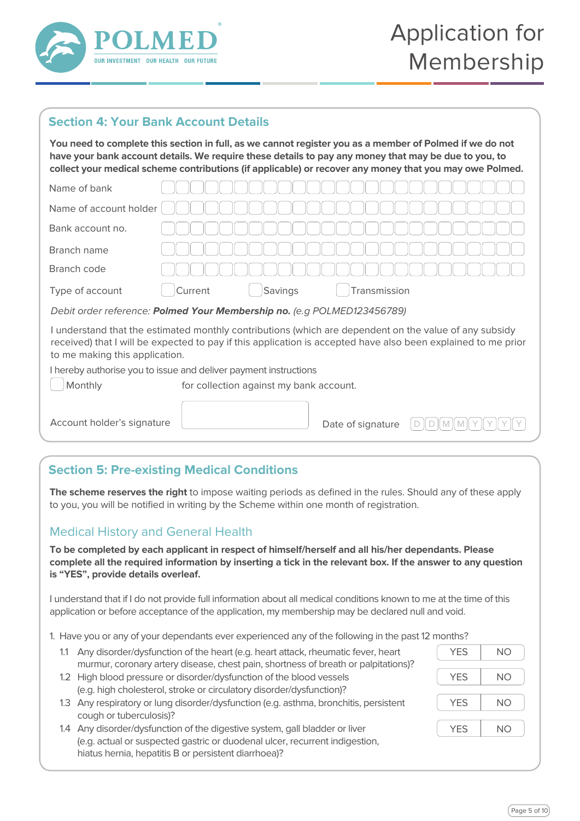

## **Section 4: Your Bank Account Details**

**You need to complete this section in full, as we cannot register you as a member of Polmed if we do not have your bank account details. We require these details to pay any money that may be due to you, to collect your medical scheme contributions (if applicable) or recover any money that you may owe Polmed.**

| Name of bank                                                                                                                                                                                                                                              |                                         |  |  |  |  |
|-----------------------------------------------------------------------------------------------------------------------------------------------------------------------------------------------------------------------------------------------------------|-----------------------------------------|--|--|--|--|
| Name of account holder                                                                                                                                                                                                                                    |                                         |  |  |  |  |
| Bank account no.                                                                                                                                                                                                                                          |                                         |  |  |  |  |
| Branch name                                                                                                                                                                                                                                               |                                         |  |  |  |  |
| Branch code                                                                                                                                                                                                                                               |                                         |  |  |  |  |
| Type of account                                                                                                                                                                                                                                           | Savings<br>Current<br>Transmission      |  |  |  |  |
| Debit order reference: Polmed Your Membership no. (e.g POLMED123456789)                                                                                                                                                                                   |                                         |  |  |  |  |
| I understand that the estimated monthly contributions (which are dependent on the value of any subsidy<br>received) that I will be expected to pay if this application is accepted have also been explained to me prior<br>to me making this application. |                                         |  |  |  |  |
| I hereby authorise you to issue and deliver payment instructions                                                                                                                                                                                          |                                         |  |  |  |  |
| Monthly                                                                                                                                                                                                                                                   | for collection against my bank account. |  |  |  |  |
|                                                                                                                                                                                                                                                           |                                         |  |  |  |  |
| Account holder's signature                                                                                                                                                                                                                                | Date of signature                       |  |  |  |  |

## **Section 5: Pre-existing Medical Conditions**

**The scheme reserves the right** to impose waiting periods as defined in the rules. Should any of these apply to you, you will be notified in writing by the Scheme within one month of registration.

### Medical History and General Health

**To be completed by each applicant in respect of himself/herself and all his/her dependants. Please complete all the required information by inserting a tick in the relevant box. If the answer to any question is "YES", provide details overleaf.**

I understand that if I do not provide full information about all medical conditions known to me at the time of this application or before acceptance of the application, my membership may be declared null and void.

1. Have you or any of your dependants ever experienced any of the following in the past 12 months?

- 1.1 Any disorder/dysfunction of the heart (e.g. heart attack, rheumatic fever, heart murmur, coronary artery disease, chest pain, shortness of breath or palpitations)?
- 1.2 High blood pressure or disorder/dysfunction of the blood vessels (e.g. high cholesterol, stroke or circulatory disorder/dysfunction)?
- 1.3 Any respiratory or lung disorder/dysfunction (e.g. asthma, bronchitis, persistent cough or tuberculosis)?
- 1.4 Any disorder/dysfunction of the digestive system, gall bladder or liver (e.g. actual or suspected gastric or duodenal ulcer, recurrent indigestion, hiatus hernia, hepatitis B or persistent diarrhoea)?

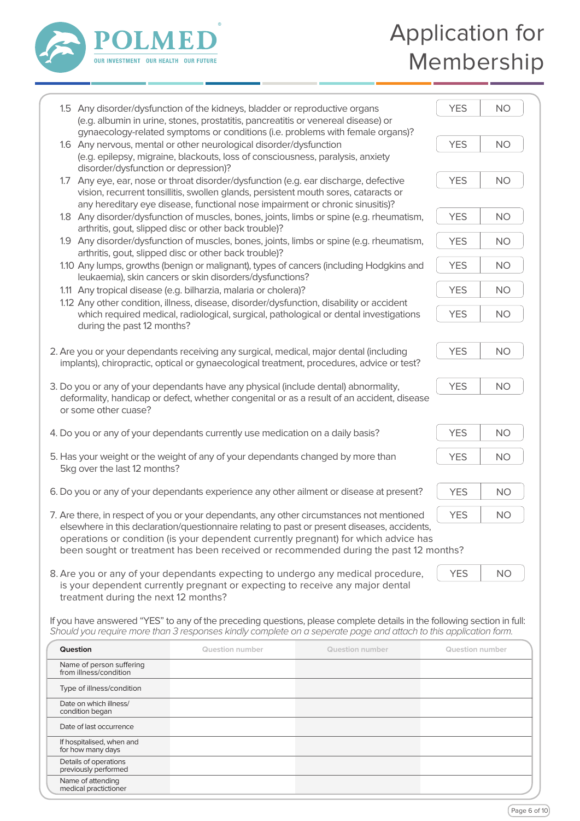

## Application for Membership

|                                                                                                                                                                                                                                                                             | 1.5 Any disorder/dysfunction of the kidneys, bladder or reproductive organs<br>(e.g. albumin in urine, stones, prostatitis, pancreatitis or venereal disease) or<br>gynaecology-related symptoms or conditions (i.e. problems with female organs)?       |                                                                                                                                                                                                                                             | <b>YES</b>             | <b>NO</b> |  |  |  |
|-----------------------------------------------------------------------------------------------------------------------------------------------------------------------------------------------------------------------------------------------------------------------------|----------------------------------------------------------------------------------------------------------------------------------------------------------------------------------------------------------------------------------------------------------|---------------------------------------------------------------------------------------------------------------------------------------------------------------------------------------------------------------------------------------------|------------------------|-----------|--|--|--|
| disorder/dysfunction or depression)?                                                                                                                                                                                                                                        | 1.6 Any nervous, mental or other neurological disorder/dysfunction<br>(e.g. epilepsy, migraine, blackouts, loss of consciousness, paralysis, anxiety                                                                                                     |                                                                                                                                                                                                                                             | <b>YES</b>             | <b>NO</b> |  |  |  |
| 1.7                                                                                                                                                                                                                                                                         | Any eye, ear, nose or throat disorder/dysfunction (e.g. ear discharge, defective<br>vision, recurrent tonsillitis, swollen glands, persistent mouth sores, cataracts or<br>any hereditary eye disease, functional nose impairment or chronic sinusitis)? |                                                                                                                                                                                                                                             |                        |           |  |  |  |
|                                                                                                                                                                                                                                                                             | 1.8 Any disorder/dysfunction of muscles, bones, joints, limbs or spine (e.g. rheumatism,                                                                                                                                                                 |                                                                                                                                                                                                                                             |                        |           |  |  |  |
|                                                                                                                                                                                                                                                                             | arthritis, gout, slipped disc or other back trouble)?<br>1.9 Any disorder/dysfunction of muscles, bones, joints, limbs or spine (e.g. rheumatism,<br>arthritis, gout, slipped disc or other back trouble)?                                               |                                                                                                                                                                                                                                             |                        |           |  |  |  |
|                                                                                                                                                                                                                                                                             | 1.10 Any lumps, growths (benign or malignant), types of cancers (including Hodgkins and<br>leukaemia), skin cancers or skin disorders/dysfunctions?                                                                                                      |                                                                                                                                                                                                                                             | <b>YES</b>             | <b>NO</b> |  |  |  |
|                                                                                                                                                                                                                                                                             | 1.11 Any tropical disease (e.g. bilharzia, malaria or cholera)?                                                                                                                                                                                          |                                                                                                                                                                                                                                             | <b>YES</b>             | <b>NO</b> |  |  |  |
|                                                                                                                                                                                                                                                                             | 1.12 Any other condition, illness, disease, disorder/dysfunction, disability or accident                                                                                                                                                                 |                                                                                                                                                                                                                                             |                        |           |  |  |  |
| during the past 12 months?                                                                                                                                                                                                                                                  | which required medical, radiological, surgical, pathological or dental investigations                                                                                                                                                                    |                                                                                                                                                                                                                                             | <b>YES</b>             | <b>NO</b> |  |  |  |
|                                                                                                                                                                                                                                                                             | 2. Are you or your dependants receiving any surgical, medical, major dental (including                                                                                                                                                                   |                                                                                                                                                                                                                                             | <b>YES</b>             | <b>NO</b> |  |  |  |
|                                                                                                                                                                                                                                                                             | implants), chiropractic, optical or gynaecological treatment, procedures, advice or test?                                                                                                                                                                |                                                                                                                                                                                                                                             |                        |           |  |  |  |
|                                                                                                                                                                                                                                                                             | 3. Do you or any of your dependants have any physical (include dental) abnormality,                                                                                                                                                                      | deformality, handicap or defect, whether congenital or as a result of an accident, disease                                                                                                                                                  | <b>YES</b>             | <b>NO</b> |  |  |  |
| or some other cuase?                                                                                                                                                                                                                                                        |                                                                                                                                                                                                                                                          |                                                                                                                                                                                                                                             |                        |           |  |  |  |
|                                                                                                                                                                                                                                                                             | 4. Do you or any of your dependants currently use medication on a daily basis?                                                                                                                                                                           |                                                                                                                                                                                                                                             | <b>YES</b>             | <b>NO</b> |  |  |  |
| 5. Has your weight or the weight of any of your dependants changed by more than<br><b>YES</b><br><b>NO</b><br>5kg over the last 12 months?                                                                                                                                  |                                                                                                                                                                                                                                                          |                                                                                                                                                                                                                                             |                        |           |  |  |  |
| <b>YES</b><br>6. Do you or any of your dependants experience any other ailment or disease at present?                                                                                                                                                                       |                                                                                                                                                                                                                                                          |                                                                                                                                                                                                                                             |                        |           |  |  |  |
| <b>YES</b><br>7. Are there, in respect of you or your dependants, any other circumstances not mentioned<br><b>NO</b>                                                                                                                                                        |                                                                                                                                                                                                                                                          |                                                                                                                                                                                                                                             |                        |           |  |  |  |
| elsewhere in this declaration/questionnaire relating to past or present diseases, accidents,<br>operations or condition (is your dependent currently pregnant) for which advice has<br>been sought or treatment has been received or recommended during the past 12 months? |                                                                                                                                                                                                                                                          |                                                                                                                                                                                                                                             |                        |           |  |  |  |
| <b>YES</b><br>8. Are you or any of your dependants expecting to undergo any medical procedure,<br><b>NO</b><br>is your dependent currently pregnant or expecting to receive any major dental<br>treatment during the next 12 months?                                        |                                                                                                                                                                                                                                                          |                                                                                                                                                                                                                                             |                        |           |  |  |  |
|                                                                                                                                                                                                                                                                             |                                                                                                                                                                                                                                                          | If you have answered "YES" to any of the preceding questions, please complete details in the following section in full:<br>Should you require more than 3 responses kindly complete on a seperate page and attach to this application form. |                        |           |  |  |  |
| Question                                                                                                                                                                                                                                                                    | <b>Question number</b>                                                                                                                                                                                                                                   | <b>Question number</b>                                                                                                                                                                                                                      | <b>Question number</b> |           |  |  |  |
| Name of person suffering<br>from illness/condition                                                                                                                                                                                                                          |                                                                                                                                                                                                                                                          |                                                                                                                                                                                                                                             |                        |           |  |  |  |
| Type of illness/condition                                                                                                                                                                                                                                                   |                                                                                                                                                                                                                                                          |                                                                                                                                                                                                                                             |                        |           |  |  |  |
| Date on which illness/<br>condition began                                                                                                                                                                                                                                   |                                                                                                                                                                                                                                                          |                                                                                                                                                                                                                                             |                        |           |  |  |  |
| Date of last occurrence                                                                                                                                                                                                                                                     |                                                                                                                                                                                                                                                          |                                                                                                                                                                                                                                             |                        |           |  |  |  |
| If hospitalised, when and<br>for how many days                                                                                                                                                                                                                              |                                                                                                                                                                                                                                                          |                                                                                                                                                                                                                                             |                        |           |  |  |  |
| Details of operations<br>previously performed                                                                                                                                                                                                                               |                                                                                                                                                                                                                                                          |                                                                                                                                                                                                                                             |                        |           |  |  |  |
| Name of attending<br>medical practictioner                                                                                                                                                                                                                                  |                                                                                                                                                                                                                                                          |                                                                                                                                                                                                                                             |                        |           |  |  |  |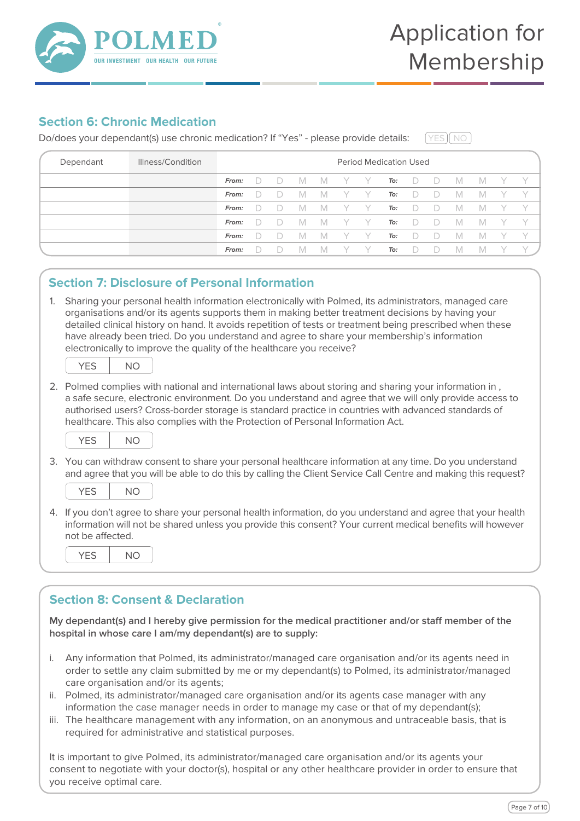

## **Section 6: Chronic Medication**

Do/does your dependant(s) use chronic medication? If "Yes" - please provide details:

 $N<sub>O</sub>$ 

| Dependant | Illness/Condition | <b>Period Medication Used</b> |        |        |     |     |  |       |     |        |        |     |     |  |  |
|-----------|-------------------|-------------------------------|--------|--------|-----|-----|--|-------|-----|--------|--------|-----|-----|--|--|
|           |                   | From:                         | $\Box$ |        | M   | – M |  | y y   | To: | $\Box$ | $\Box$ | - M | - M |  |  |
|           |                   | From:                         | D.     |        | M   | - M |  | - Y - | To: | D      | $\Box$ | M   | M   |  |  |
|           |                   | From:                         | $\Box$ |        | M   | - M |  | Y Y   | To: | $\Box$ |        | M   | M   |  |  |
|           |                   | From:                         | $\Box$ | $\Box$ | IM. | - M |  | Y Y   | To: | $\Box$ | $\Box$ | - M | M   |  |  |
|           |                   | From:                         | $\Box$ |        | M   | - M |  | Y Y   | To: | $\Box$ | $-D$   | M   | M   |  |  |
|           |                   | From:                         |        |        |     | M   |  |       | To: |        |        |     | M   |  |  |

## **Section 7: Disclosure of Personal Information**

1. Sharing your personal health information electronically with Polmed, its administrators, managed care organisations and/or its agents supports them in making better treatment decisions by having your detailed clinical history on hand. It avoids repetition of tests or treatment being prescribed when these have already been tried. Do you understand and agree to share your membership's information electronically to improve the quality of the healthcare you receive?

| r | N<br>)<br>., |  |
|---|--------------|--|
|   |              |  |

2. Polmed complies with national and international laws about storing and sharing your information in , a safe secure, electronic environment. Do you understand and agree that we will only provide access to authorised users? Cross-border storage is standard practice in countries with advanced standards of healthcare. This also complies with the Protection of Personal Information Act.



3. You can withdraw consent to share your personal healthcare information at any time. Do you understand and agree that you will be able to do this by calling the Client Service Call Centre and making this request?



4. If you don't agree to share your personal health information, do you understand and agree that your health information will not be shared unless you provide this consent? Your current medical benefits will however not be affected.

| . . |
|-----|
|-----|

## **Section 8: Consent & Declaration**

My dependant(s) and I hereby give permission for the medical practitioner and/or staff member of the **hospital in whose care I am/my dependant(s) are to supply:**

- i. Any information that Polmed, its administrator/managed care organisation and/or its agents need in order to settle any claim submitted by me or my dependant(s) to Polmed, its administrator/managed care organisation and/or its agents;
- ii. Polmed, its administrator/managed care organisation and/or its agents case manager with any information the case manager needs in order to manage my case or that of my dependant(s);
- iii. The healthcare management with any information, on an anonymous and untraceable basis, that is required for administrative and statistical purposes.

It is important to give Polmed, its administrator/managed care organisation and/or its agents your consent to negotiate with your doctor(s), hospital or any other healthcare provider in order to ensure that you receive optimal care.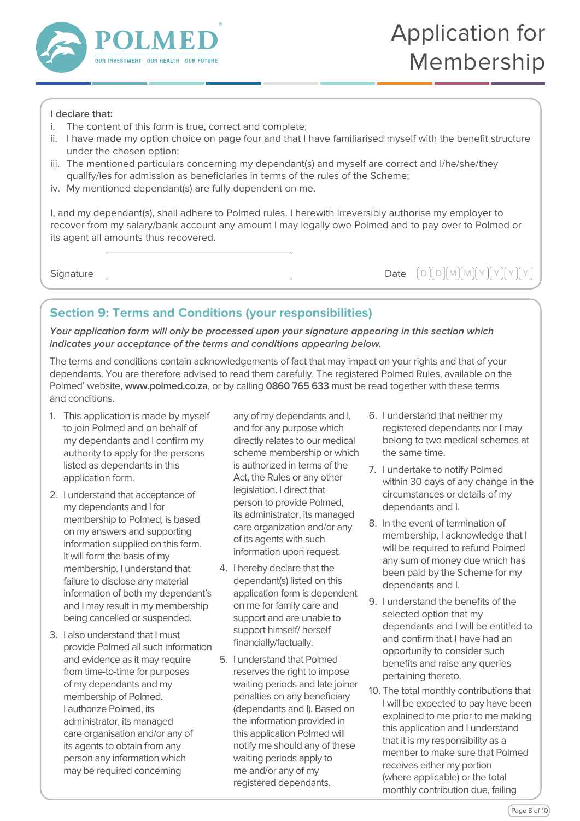

#### **I declare that:**

- i. The content of this form is true, correct and complete;
- ii. I have made my option choice on page four and that I have familiarised myself with the benefit structure under the chosen option;
- iii. The mentioned particulars concerning my dependant(s) and myself are correct and I/he/she/they qualify/ies for admission as beneficiaries in terms of the rules of the Scheme;
- iv. My mentioned dependant(s) are fully dependent on me.

I, and my dependant(s), shall adhere to Polmed rules. I herewith irreversibly authorise my employer to recover from my salary/bank account any amount I may legally owe Polmed and to pay over to Polmed or its agent all amounts thus recovered.

 $\mathsf{Sianature}$   $\mathsf{Date}$   $\mathsf{D} \mathsf{I} \cup \mathsf{M} \mathsf{M} \mathsf{N} \setminus \mathsf{N} \setminus \mathsf{N}$ 

## **Section 9: Terms and Conditions (your responsibilities)**

**Your application form will only be processed upon your signature appearing in this section which indicates your acceptance of the terms and conditions appearing below.**

The terms and conditions contain acknowledgements of fact that may impact on your rights and that of your dependants. You are therefore advised to read them carefully. The registered Polmed Rules, available on the Polmed' website, **www.polmed.co.za**, or by calling **0860 765 633** must be read together with these terms and conditions.

- 1. This application is made by myself to join Polmed and on behalf of my dependants and I confirm my authority to apply for the persons listed as dependants in this application form.
- 2. I understand that acceptance of my dependants and I for membership to Polmed, is based on my answers and supporting information supplied on this form. It will form the basis of my membership. I understand that failure to disclose any material information of both my dependant's and I may result in my membership being cancelled or suspended.
- 3. I also understand that I must provide Polmed all such information and evidence as it may require from time-to-time for purposes of my dependants and my membership of Polmed. I authorize Polmed, its administrator, its managed care organisation and/or any of its agents to obtain from any person any information which may be required concerning
- any of my dependants and I, and for any purpose which directly relates to our medical scheme membership or which is authorized in terms of the Act, the Rules or any other legislation. I direct that person to provide Polmed, its administrator, its managed care organization and/or any of its agents with such information upon request.
- 4. I hereby declare that the dependant(s) listed on this application form is dependent on me for family care and support and are unable to support himself/ herself financially/factually.
- 5. I understand that Polmed reserves the right to impose waiting periods and late joiner penalties on any beneficiary (dependants and I). Based on the information provided in this application Polmed will notify me should any of these waiting periods apply to me and/or any of my registered dependants.
- 6. I understand that neither my registered dependants nor I may belong to two medical schemes at the same time.
- 7. I undertake to notify Polmed within 30 days of any change in the circumstances or details of my dependants and I.
- 8. In the event of termination of membership, I acknowledge that I will be required to refund Polmed any sum of money due which has been paid by the Scheme for my dependants and I.
- 9. I understand the benefits of the selected option that my dependants and I will be entitled to and confirm that I have had an opportunity to consider such benefits and raise any queries pertaining thereto.
- 10.The total monthly contributions that I will be expected to pay have been explained to me prior to me making this application and I understand that it is my responsibility as a member to make sure that Polmed receives either my portion (where applicable) or the total monthly contribution due, failing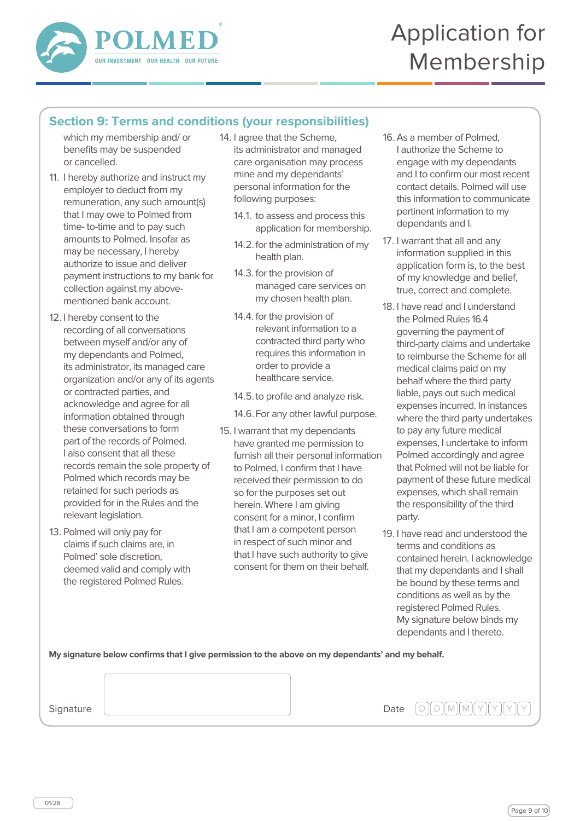

## **Section 9: Terms and conditions (your responsibilities)**

which my membership and/ or benefits may be suspended or cancelled.

- 11. I hereby authorize and instruct my employer to deduct from my remuneration, any such amount(s) that I may owe to Polmed from time- to-time and to pay such amounts to Polmed. Insofar as may be necessary, I hereby authorize to issue and deliver payment instructions to my bank for collection against my abovementioned bank account.
- 12. I hereby consent to the recording of all conversations between myself and/or any of my dependants and Polmed, its administrator, its managed care organization and/or any of its agents or contracted parties, and acknowledge and agree for all information obtained through these conversations to form part of the records of Polmed. I also consent that all these records remain the sole property of Polmed which records may be retained for such periods as provided for in the Rules and the relevant legislation.
- 13. Polmed will only pay for claims if such claims are, in Polmed' sole discretion, deemed valid and comply with the registered Polmed Rules.
- 14. I agree that the Scheme, its administrator and managed care organisation may process mine and my dependants' personal information for the following purposes:
	- 14.1. to assess and process this application for membership.
	- 14.2.for the administration of my health plan.
	- 14.3. for the provision of managed care services on my chosen health plan.
	- 14.4. for the provision of relevant information to a contracted third party who requires this information in order to provide a healthcare service.
	- 14.5.to profile and analyze risk.
	- 14.6.For any other lawful purpose.
- 15. I warrant that my dependants have granted me permission to furnish all their personal information to Polmed, I confirm that I have received their permission to do so for the purposes set out herein. Where I am giving consent for a minor, I confirm that I am a competent person in respect of such minor and that I have such authority to give consent for them on their behalf.
- 16.As a member of Polmed, I authorize the Scheme to engage with my dependants and I to confirm our most recent contact details. Polmed will use this information to communicate pertinent information to my dependants and I.
- 17. I warrant that all and any information supplied in this application form is, to the best of my knowledge and belief, true, correct and complete.
- 18. I have read and I understand the Polmed Rules 16.4 governing the payment of third-party claims and undertake to reimburse the Scheme for all medical claims paid on my behalf where the third party liable, pays out such medical expenses incurred. In instances where the third party undertakes to pay any future medical expenses, I undertake to inform Polmed accordingly and agree that Polmed will not be liable for payment of these future medical expenses, which shall remain the responsibility of the third party.
- 19. I have read and understood the terms and conditions as contained herein. I acknowledge that my dependants and I shall be bound by these terms and conditions as well as by the registered Polmed Rules. My signature below binds my dependants and I thereto.

**My signature below confirms that I give permission to the above on my dependants' and my behalf.**

**Signature** 

Date  $[D][D][M][M][Y]$